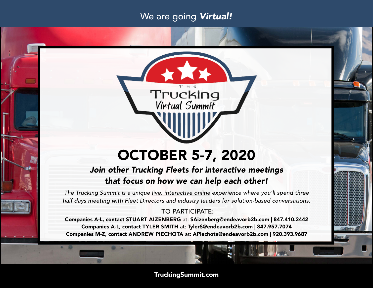# We are going *Virtual!*



# OCTOBER 5-7, 2020

## *Join other Trucking Fleets for interactive meetings that focus on how we can help each other!*

*The Trucking Summit is a unique live, interactive online experience where you'll spend three half days meeting with Fleet Directors and industry leaders for solution-based conversations.*

#### TO PARTICIPATE:

Companies A-L, contact STUART AIZENBERG at: SAizenberg@endeavorb2b.com | 847.410.2442 Companies A-L, contact TYLER SMITH at: TylerS@endeavorb2b.com | 847.957.7074 Companies M-Z, contact ANDREW PIECHOTA at: APiechota@endeavorb2b.com | 920.393.9687

#### TruckingSummit.com